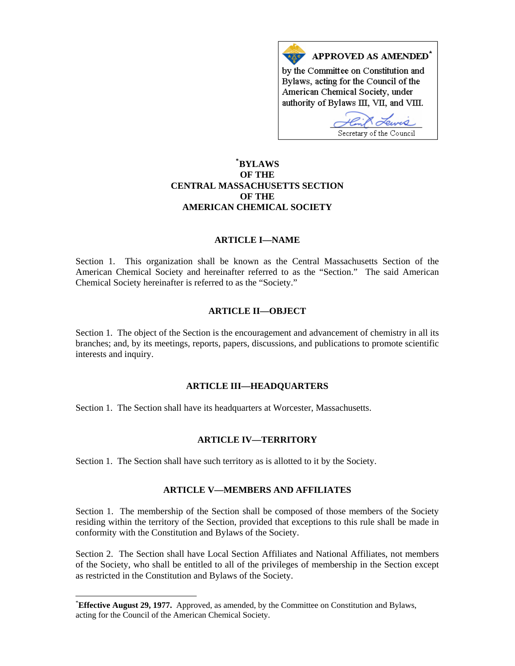

# **\* [BYLAWS](#page-0-0)  OF THE CENTRAL MASSACHUSETTS SECTION OF THE AMERICAN CHEMICAL SOCIETY**

#### **ARTICLE I—NAME**

Section 1. This organization shall be known as the Central Massachusetts Section of the American Chemical Society and hereinafter referred to as the "Section." The said American Chemical Society hereinafter is referred to as the "Society."

#### **ARTICLE II—OBJECT**

Section 1. The object of the Section is the encouragement and advancement of chemistry in all its branches; and, by its meetings, reports, papers, discussions, and publications to promote scientific interests and inquiry.

## **ARTICLE III—HEADQUARTERS**

Section 1. The Section shall have its headquarters at Worcester, Massachusetts.

## **ARTICLE IV—TERRITORY**

Section 1. The Section shall have such territory as is allotted to it by the Society.

## **ARTICLE V—MEMBERS AND AFFILIATES**

Section 1. The membership of the Section shall be composed of those members of the Society residing within the territory of the Section, provided that exceptions to this rule shall be made in conformity with the Constitution and Bylaws of the Society.

Section 2. The Section shall have Local Section Affiliates and National Affiliates, not members of the Society, who shall be entitled to all of the privileges of membership in the Section except as restricted in the Constitution and Bylaws of the Society.

 $\overline{a}$ 

<span id="page-0-0"></span><sup>\*</sup> **Effective August 29, 1977.** Approved, as amended, by the Committee on Constitution and Bylaws, acting for the Council of the American Chemical Society.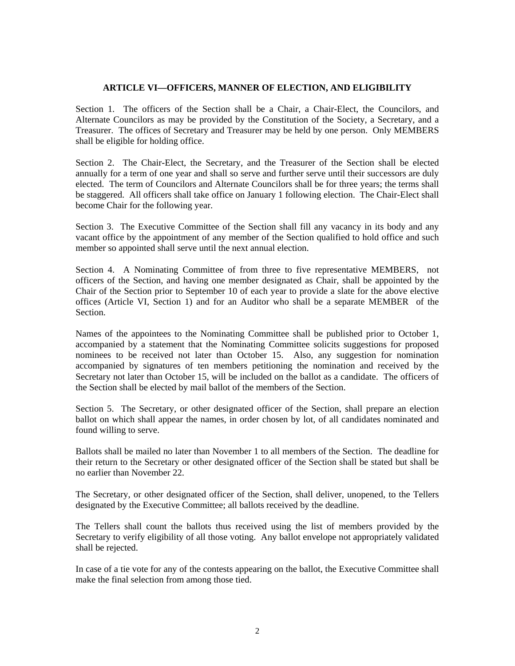#### **ARTICLE VI—OFFICERS, MANNER OF ELECTION, AND ELIGIBILITY**

Section 1. The officers of the Section shall be a Chair, a Chair-Elect, the Councilors, and Alternate Councilors as may be provided by the Constitution of the Society, a Secretary, and a Treasurer. The offices of Secretary and Treasurer may be held by one person. Only MEMBERS shall be eligible for holding office.

Section 2. The Chair-Elect, the Secretary, and the Treasurer of the Section shall be elected annually for a term of one year and shall so serve and further serve until their successors are duly elected. The term of Councilors and Alternate Councilors shall be for three years; the terms shall be staggered. All officers shall take office on January 1 following election. The Chair-Elect shall become Chair for the following year.

Section 3. The Executive Committee of the Section shall fill any vacancy in its body and any vacant office by the appointment of any member of the Section qualified to hold office and such member so appointed shall serve until the next annual election.

Section 4. A Nominating Committee of from three to five representative MEMBERS, not officers of the Section, and having one member designated as Chair, shall be appointed by the Chair of the Section prior to September 10 of each year to provide a slate for the above elective offices (Article VI, Section 1) and for an Auditor who shall be a separate MEMBER of the Section.

Names of the appointees to the Nominating Committee shall be published prior to October 1, accompanied by a statement that the Nominating Committee solicits suggestions for proposed nominees to be received not later than October 15. Also, any suggestion for nomination accompanied by signatures of ten members petitioning the nomination and received by the Secretary not later than October 15, will be included on the ballot as a candidate. The officers of the Section shall be elected by mail ballot of the members of the Section.

Section 5. The Secretary, or other designated officer of the Section, shall prepare an election ballot on which shall appear the names, in order chosen by lot, of all candidates nominated and found willing to serve.

Ballots shall be mailed no later than November 1 to all members of the Section. The deadline for their return to the Secretary or other designated officer of the Section shall be stated but shall be no earlier than November 22.

The Secretary, or other designated officer of the Section, shall deliver, unopened, to the Tellers designated by the Executive Committee; all ballots received by the deadline.

The Tellers shall count the ballots thus received using the list of members provided by the Secretary to verify eligibility of all those voting. Any ballot envelope not appropriately validated shall be rejected.

In case of a tie vote for any of the contests appearing on the ballot, the Executive Committee shall make the final selection from among those tied.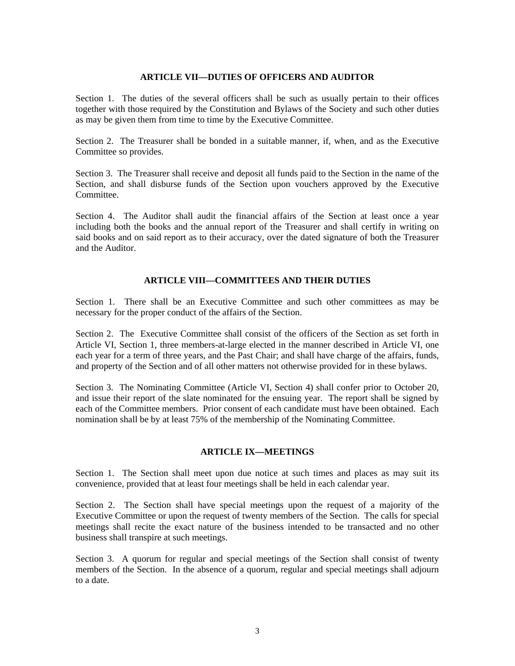#### **ARTICLE VII—DUTIES OF OFFICERS AND AUDITOR**

Section 1. The duties of the several officers shall be such as usually pertain to their offices together with those required by the Constitution and Bylaws of the Society and such other duties as may be given them from time to time by the Executive Committee.

Section 2. The Treasurer shall be bonded in a suitable manner, if, when, and as the Executive Committee so provides.

Section 3. The Treasurer shall receive and deposit all funds paid to the Section in the name of the Section, and shall disburse funds of the Section upon vouchers approved by the Executive Committee.

Section 4. The Auditor shall audit the financial affairs of the Section at least once a year including both the books and the annual report of the Treasurer and shall certify in writing on said books and on said report as to their accuracy, over the dated signature of both the Treasurer and the Auditor.

## **ARTICLE VIII—COMMITTEES AND THEIR DUTIES**

Section 1. There shall be an Executive Committee and such other committees as may be necessary for the proper conduct of the affairs of the Section.

Section 2. The Executive Committee shall consist of the officers of the Section as set forth in Article VI, Section 1, three members-at-large elected in the manner described in Article VI, one each year for a term of three years, and the Past Chair; and shall have charge of the affairs, funds, and property of the Section and of all other matters not otherwise provided for in these bylaws.

Section 3. The Nominating Committee (Article VI, Section 4) shall confer prior to October 20, and issue their report of the slate nominated for the ensuing year. The report shall be signed by each of the Committee members. Prior consent of each candidate must have been obtained. Each nomination shall be by at least 75% of the membership of the Nominating Committee.

## **ARTICLE IX—MEETINGS**

Section 1. The Section shall meet upon due notice at such times and places as may suit its convenience, provided that at least four meetings shall be held in each calendar year.

Section 2. The Section shall have special meetings upon the request of a majority of the Executive Committee or upon the request of twenty members of the Section. The calls for special meetings shall recite the exact nature of the business intended to be transacted and no other business shall transpire at such meetings.

Section 3. A quorum for regular and special meetings of the Section shall consist of twenty members of the Section. In the absence of a quorum, regular and special meetings shall adjourn to a date.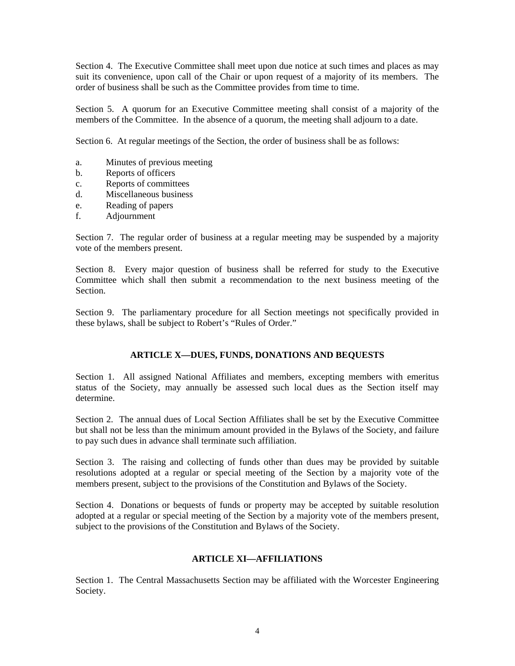Section 4. The Executive Committee shall meet upon due notice at such times and places as may suit its convenience, upon call of the Chair or upon request of a majority of its members. The order of business shall be such as the Committee provides from time to time.

Section 5. A quorum for an Executive Committee meeting shall consist of a majority of the members of the Committee. In the absence of a quorum, the meeting shall adjourn to a date.

Section 6. At regular meetings of the Section, the order of business shall be as follows:

- a. Minutes of previous meeting
- b. Reports of officers
- c. Reports of committees
- d. Miscellaneous business
- e. Reading of papers
- f. Adjournment

Section 7. The regular order of business at a regular meeting may be suspended by a majority vote of the members present.

Section 8. Every major question of business shall be referred for study to the Executive Committee which shall then submit a recommendation to the next business meeting of the Section.

Section 9. The parliamentary procedure for all Section meetings not specifically provided in these bylaws, shall be subject to Robert's "Rules of Order."

## **ARTICLE X—DUES, FUNDS, DONATIONS AND BEQUESTS**

Section 1. All assigned National Affiliates and members, excepting members with emeritus status of the Society, may annually be assessed such local dues as the Section itself may determine.

Section 2. The annual dues of Local Section Affiliates shall be set by the Executive Committee but shall not be less than the minimum amount provided in the Bylaws of the Society, and failure to pay such dues in advance shall terminate such affiliation.

Section 3. The raising and collecting of funds other than dues may be provided by suitable resolutions adopted at a regular or special meeting of the Section by a majority vote of the members present, subject to the provisions of the Constitution and Bylaws of the Society.

Section 4. Donations or bequests of funds or property may be accepted by suitable resolution adopted at a regular or special meeting of the Section by a majority vote of the members present, subject to the provisions of the Constitution and Bylaws of the Society.

#### **ARTICLE XI—AFFILIATIONS**

Section 1. The Central Massachusetts Section may be affiliated with the Worcester Engineering Society.